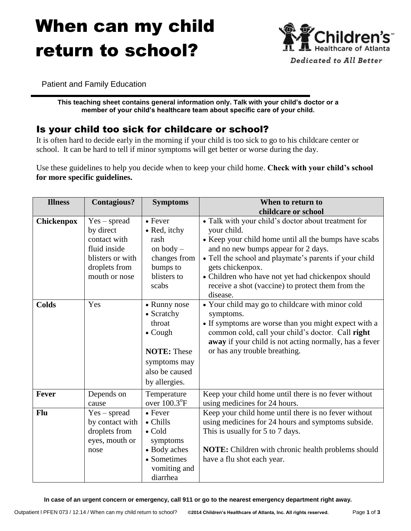## When can my child return to school?



Patient and Family Education

**This teaching sheet contains general information only. Talk with your child's doctor or a member of your child's healthcare team about specific care of your child.**

## Is your child too sick for childcare or school?

It is often hard to decide early in the morning if your child is too sick to go to his childcare center or school. It can be hard to tell if minor symptoms will get better or worse during the day.

Use these guidelines to help you decide when to keep your child home. **Check with your child's school for more specific guidelines.**

| <b>Illness</b>    | <b>Contagious?</b>                                                                                                | <b>Symptoms</b>                                                                                                                  | When to return to<br>childcare or school                                                                                                                                                                                                                                                                                                                               |
|-------------------|-------------------------------------------------------------------------------------------------------------------|----------------------------------------------------------------------------------------------------------------------------------|------------------------------------------------------------------------------------------------------------------------------------------------------------------------------------------------------------------------------------------------------------------------------------------------------------------------------------------------------------------------|
| <b>Chickenpox</b> | $Yes - spread$<br>by direct<br>contact with<br>fluid inside<br>blisters or with<br>droplets from<br>mouth or nose | $\bullet$ Fever<br>• Red, itchy<br>rash<br>on $body -$<br>changes from<br>bumps to<br>blisters to<br>scabs                       | • Talk with your child's doctor about treatment for<br>your child.<br>• Keep your child home until all the bumps have scabs<br>and no new bumps appear for 2 days.<br>• Tell the school and playmate's parents if your child<br>gets chickenpox.<br>• Children who have not yet had chickenpox should<br>receive a shot (vaccine) to protect them from the<br>disease. |
| <b>Colds</b>      | Yes                                                                                                               | • Runny nose<br>• Scratchy<br>throat<br>$\bullet$ Cough<br><b>NOTE: These</b><br>symptoms may<br>also be caused<br>by allergies. | • Your child may go to childcare with minor cold<br>symptoms.<br>• If symptoms are worse than you might expect with a<br>common cold, call your child's doctor. Call right<br>away if your child is not acting normally, has a fever<br>or has any trouble breathing.                                                                                                  |
| <b>Fever</b>      | Depends on<br>cause                                                                                               | Temperature<br>over $100.3^{\circ}F$                                                                                             | Keep your child home until there is no fever without<br>using medicines for 24 hours.                                                                                                                                                                                                                                                                                  |
| <b>Flu</b>        | $Yes - spread$<br>by contact with<br>droplets from<br>eyes, mouth or<br>nose                                      | $\bullet$ Fever<br>$\bullet$ Chills<br>$\bullet$ Cold<br>symptoms<br>• Body aches<br>• Sometimes<br>vomiting and<br>diarrhea     | Keep your child home until there is no fever without<br>using medicines for 24 hours and symptoms subside.<br>This is usually for 5 to 7 days.<br><b>NOTE:</b> Children with chronic health problems should<br>have a flu shot each year.                                                                                                                              |

 **In case of an urgent concern or emergency, call 911 or go to the nearest emergency department right away.**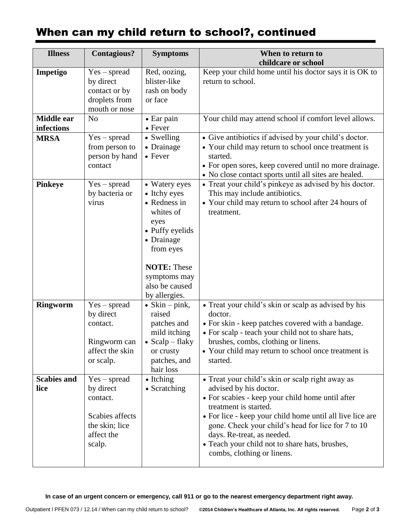|  |  |  |  |  |  | When can my child return to school?, continued |
|--|--|--|--|--|--|------------------------------------------------|
|--|--|--|--|--|--|------------------------------------------------|

| <b>Illness</b>             | <b>Contagious?</b>                                                                                   | <b>Symptoms</b>                                                                                                                                                                           | When to return to                                                                                                                                                                                                                                                                                                                                                                        |
|----------------------------|------------------------------------------------------------------------------------------------------|-------------------------------------------------------------------------------------------------------------------------------------------------------------------------------------------|------------------------------------------------------------------------------------------------------------------------------------------------------------------------------------------------------------------------------------------------------------------------------------------------------------------------------------------------------------------------------------------|
|                            |                                                                                                      |                                                                                                                                                                                           | childcare or school                                                                                                                                                                                                                                                                                                                                                                      |
| Impetigo                   | $Yes - spread$<br>by direct<br>contact or by<br>droplets from<br>mouth or nose                       | Red, oozing,<br>blister-like<br>rash on body<br>or face                                                                                                                                   | Keep your child home until his doctor says it is OK to<br>return to school.                                                                                                                                                                                                                                                                                                              |
| Middle ear<br>infections   | N <sub>o</sub>                                                                                       | • Ear pain<br>$\bullet$ Fever                                                                                                                                                             | Your child may attend school if comfort level allows.                                                                                                                                                                                                                                                                                                                                    |
| <b>MRSA</b>                | $Yes - spread$<br>from person to<br>person by hand<br>contact                                        | • Swelling<br>• Drainage<br>• Fever                                                                                                                                                       | • Give antibiotics if advised by your child's doctor.<br>• Your child may return to school once treatment is<br>started.<br>• For open sores, keep covered until no more drainage.<br>• No close contact sports until all sites are healed.                                                                                                                                              |
| <b>Pinkeye</b>             | $Yes - spread$<br>by bacteria or<br>virus                                                            | • Watery eyes<br>• Itchy eyes<br>• Redness in<br>whites of<br>eyes<br>• Puffy eyelids<br>• Drainage<br>from eyes<br><b>NOTE: These</b><br>symptoms may<br>also be caused<br>by allergies. | • Treat your child's pinkeye as advised by his doctor.<br>This may include antibiotics.<br>• Your child may return to school after 24 hours of<br>treatment.                                                                                                                                                                                                                             |
| <b>Ringworm</b>            | $Yes - spread$<br>by direct<br>contact.<br>Ringworm can<br>affect the skin<br>or scalp.              | • Skin $-$ pink,<br>raised<br>patches and<br>mild itching<br>• Scalp – flaky<br>or crusty<br>patches, and<br>hair loss                                                                    | • Treat your child's skin or scalp as advised by his<br>doctor.<br>• For skin - keep patches covered with a bandage.<br>• For scalp - teach your child not to share hats,<br>brushes, combs, clothing or linens.<br>• Your child may return to school once treatment is<br>started.                                                                                                      |
| <b>Scabies and</b><br>lice | $Yes - spread$<br>by direct<br>contact.<br>Scabies affects<br>the skin; lice<br>affect the<br>scalp. | • Itching<br>• Scratching                                                                                                                                                                 | • Treat your child's skin or scalp right away as<br>advised by his doctor.<br>• For scabies - keep your child home until after<br>treatment is started.<br>• For lice - keep your child home until all live lice are<br>gone. Check your child's head for lice for 7 to 10<br>days. Re-treat, as needed.<br>• Teach your child not to share hats, brushes,<br>combs, clothing or linens. |

**In case of an urgent concern or emergency, call 911 or go to the nearest emergency department right away.**